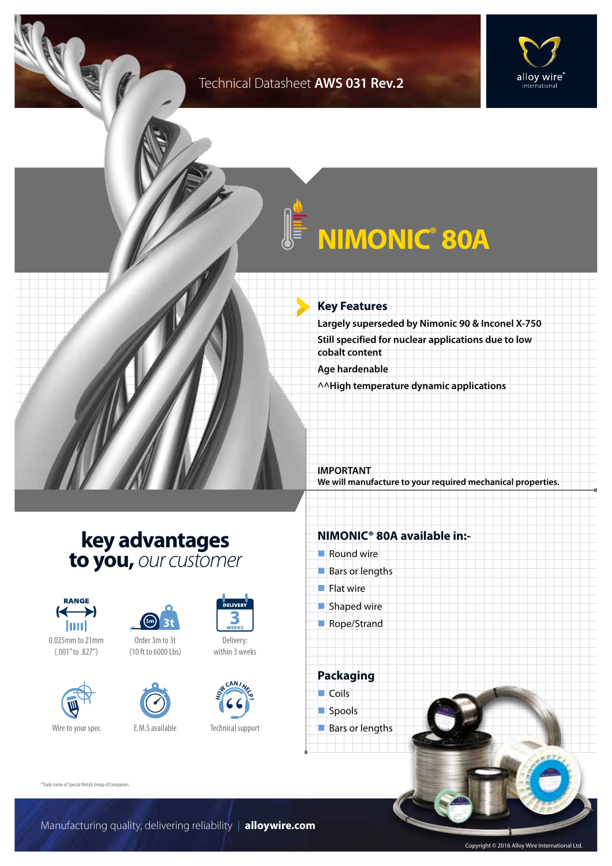### Technical Datasheet **AWS 031 Rev.2**



# **NIMONIC® 80A**

#### **Key Features**

**Largely superseded by Nimonic 90 & Inconel X-750 Still specified for nuclear applications due to low cobalt content**

**Age hardenable**

**^^High temperature dynamic applications**

**IMPORTANT We will manufacture to your required mechanical properties.**

### **key advantages to you,** *our customer*



0.025mm to 21mm (.001" to .827")





Order 3m to 3t (10 ft to 6000 Lbs)



Technical support

**H CAN IH E**<br> **P D** 

Delivery: within 3 weeks

### **NIMONIC® 80A available in:-**

- $\blacksquare$  Round wire
- $Bars$  or lengths
- $\blacksquare$  Flat wire
- $\blacksquare$  Shaped wire
- Rope/Strand

**Packaging**  $\Box$  Coils spools  $\blacksquare$  Bars or lengths

®Trade name of Special Metals Group of Companies.

Manufacturing quality, delivering reliability | **alloywire.com**

Copyright © 2016 Alloy Wire International Ltd.